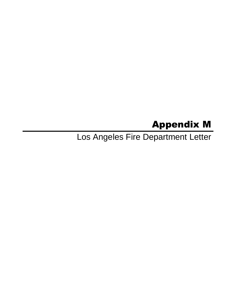# Appendix M

Los Angeles Fire Department Letter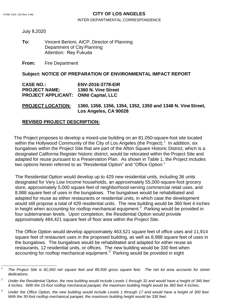### FORM. GEN. 160 (Rev. 6-80) **CITY OF LOS ANGELES**

INTER-DEPARTMENTAL CORRESPONDENCE

July 8,2020

**To:**  Vincent Bertoni, AICP, Director of Planning Department of City Planning Attention: Rey Fukuda

**From:** Fire Department

#### **Subject: NOTICE OF PREPARATION OF ENVIRONMENTAL IMPACT REPORT**

| <b>CASE NO.:</b>                            | <b>ENV-2016-3778-EIR</b> |
|---------------------------------------------|--------------------------|
| <b>PROJECT NAME:</b>                        | 1360 N. Vine Street      |
| <b>PROJECT APPLICANT: ONNI Capital, LLC</b> |                          |

**PROJECT LOCATION: 1360, 1358, 1356, 1354, 1352, 1350 and 1348 N. VineStreet, Los Angeles, CA 90028** 

### **REVISED PROJECT DESCRIPTION:**

 The Project proposes to develop a mixed-use building on an 81,050-square-foot site located within the Hollywood Community of the City of Los Angeles (the Project).<sup>[1](#page-1-0)</sup> In addition, six bungalows within the Project Site that are part of the Afton Square Historic District, which is a designated California Register historic district, would be relocated within the Project Site and adapted for reuse pursuant to a Preservation Plan. As shown in Table 1, the Project includes two options herein referred to as "Residential Option" and "Office Option."

 The Residential Option would develop up to 429 new residential units, including 36 units designated for Very Low Income households, an approximately 55,000-square-foot grocery store, approximately 5,000 square feet of neighborhood-serving commercial retail uses, and 8,988 square feet of uses in the bungalows. The bungalows would be rehabilitated and adapted for reuse as either restaurants or residential units, in which case the development would still propose a total of 429 residential units. The new building would be 360 feet 4 inches in height when accounting for rooftop mechanical equipment.<sup>[2](#page-1-1)</sup> Parking would be provided in four subterranean levels. Upon completion, the Residential Option would provide approximately 484,421 square feet of floor area within the Project Site.

 The Office Option would develop approximately 463,521 square feet of office uses and 11,914 square feet of restaurant uses in the proposed building, as well as 8,988 square feet of uses in the bungalows. The bungalows would be rehabilitated and adapted for either reuse as restaurants, 12 residential units, or offices. The new building would be 330 feet when accounting for rooftop mechanical equipment. $3$  Parking would be provided in eight

<span id="page-1-0"></span>*<sup>1</sup> The Project Site is 81,050 net square feet and 89,500 gross square feet. The net lot area accounts for street dedications.*

<span id="page-1-1"></span>*<sup>2</sup> Under the Residential Option, the new building would include Levels 1 through 32 and would have a height of 345 feet 4 inches. With the 15-foot rooftop mechanical parapet, the maximum building height would be 360 feet 4 inches.*

<span id="page-1-2"></span>*<sup>3</sup> Under the Office Option, the new building would include Levels 1 through 17 and would have a height of 300 feet. With the 30-foot rooftop mechanical parapet, the maximum building height would be 330 feet.*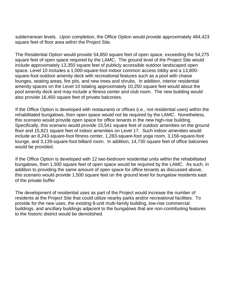subterranean levels. Upon completion, the Office Option would provide approximately 484,423 square feet of floor area within the Project Site.

The Residential Option would provide 54,850 square feet of open space, exceeding the 54,275 square feet of open space required by the LAMC. The ground level of the Project Site would include approximately 13,350 square feet of publicly accessible outdoor landscaped open space. Level 10 includes a 1,000-square-foot indoor common access lobby and a 13,800 square-foot outdoor amenity deck with recreational features such as a pool with chaise lounges, seating areas, fire pits, and new trees and shrubs. In addition, interior residential amenity spaces on the Level 10 totaling approximately 10,250 square feet would about the pool amenity deck and may include a fitness center and club room. The new building would also provide 16,450 square feet of private balconies.

 If the Office Option is developed with restaurants or offices (i.e., not residential uses) within the rehabilitated bungalows, then open space would not be required by the LAMC. Nonetheless, this scenario would provide open space for office tenants in the new high-rise building. Specifically, this scenario would provide 15,541 square feet of outdoor amenities on the ground floor and 15,821 square feet of indoor amenities on Level 17. Such indoor amenities would include an 8,243-square-foot fitness center, 1,283-square-foot yoga room, 3,156-square-foot lounge, and 3,139-square-foot billiard room. In addition, 14,730 square feet of office balconies would be provided.

 If the Office Option is developed with 12 two-bedroom residential units within the rehabilitated bungalows, then 1,500 square feet of open space would be required by the LAMC. As such, in addition to providing the same amount of open space for office tenants as discussed above, this scenario would provide 1,500 square feet on the ground level for bungalow residents east of the private buffer

 The development of residential uses as part of the Project would increase the number of residents at the Project Site that could utilize nearby parks and/or recreational facilities. To provide for the new uses, the existing 8-unit multi-family building, low-rise commercial buildings, and ancillary buildings adjacent to the bungalows that are non-contributing features to the historic district would be demolished.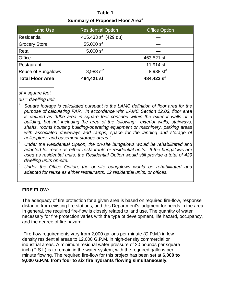# **Table 1 Summary of Proposed Floor Area**<sup>a</sup>

| <b>Land Use</b>           | <b>Residential Option</b> | <b>Office Option</b>  |
|---------------------------|---------------------------|-----------------------|
| <b>Residential</b>        | 415,433 sf (429 du)       |                       |
| <b>Grocery Store</b>      | 55,000 sf                 |                       |
| Retail                    | $5,000$ sf                |                       |
| Office                    |                           | 463,521 sf            |
| Restaurant                |                           | 11,914 sf             |
| <b>Reuse of Bungalows</b> | 8,988 sf <sup>b</sup>     | 8,988 sf <sup>c</sup> |
| <b>Total Floor Area</b>   | 484,421 sf                | 484,423 sf            |

*sf = square feet*

*du = dwelling unit*

- *<sup>a</sup> Square footage is calculated pursuant to the LAMC definition of floor area for the purpose of calculating FAR. In accordance with LAMC Section 12.03, floor area is defined as "[t]he area in square feet confined within the exterior walls of a building, but not including the area of the following: exterior walls, stairways, shafts, rooms housing building-operating equipment or machinery, parking areas with associated driveways and ramps, space for the landing and storage of helicopters, and basement storage areas."*
- *<sup>b</sup> Under the Residential Option, the on-site bungalows would be rehabilitated and adapted for reuse as either restaurants or residential units. If the bungalows are used as residential units, the Residential Option would still provide a total of 429 dwelling units on-site.*
- *<sup>c</sup> Under the Office Option, the on-site bungalows would be rehabilitated and adapted for reuse as either restaurants, 12 residential units, or offices.*

## **FIRE FLOW:**

The adequacy of fire protection for a given area is based on required fire-flow, response distance from existing fire stations, and this Department's judgment for needs in the area. In general, the required fire-flow is closely related to land use. The quantity of water necessary for fire protection varies with the type of development, life hazard, occupancy, and the degree of fire hazard.

Fire-flow requirements vary from 2,000 gallons per minute (G.P.M.) in low density residential areas to 12,000 G.P.M. in high-density commercial or industrial areas. A minimum residual water pressure of 20 pounds per square inch (P.S.I.) is to remain in the water system, with the required gallons per minute flowing. The required fire-flow for this project has been set at **6,000 to 9,000 G.P.M. from four to six fire hydrants flowing simultaneously.**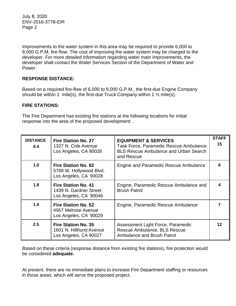Improvements to the water system in this area may be required to provide 6,000 to 9,000 G.P.M. fire-flow. The cost of improving the water system may be charged to the developer. For more detailed information regarding water main improvements, the developer shall contact the Water Services Section of the Department of Water and Power.

## **RESPONSE DISTANCE:**

Based on a required fire-flow of 6,000 to 9,000 G.P.M., the first-due Engine Company should be within 1 mile(s), the first-due Truck Company within 1  $\frac{1}{2}$  mile(s).

## **FIRE STATIONS:**

The Fire Department has existing fire stations at the following locations for initial response into the area of the proposed development: .

| <b>DISTANCE</b><br>0.4 | <b>Fire Station No. 27</b><br>1327 N. Cole Avenue<br>Los Angeles, CA 90028      | <b>EQUIPMENT &amp; SERVICES</b><br><b>Task Force, Paramedic Rescue Ambulance</b><br><b>BLS Rescue Ambulance and Urban Search</b><br>and Rescue | <b>STAFF</b><br>15 |
|------------------------|---------------------------------------------------------------------------------|------------------------------------------------------------------------------------------------------------------------------------------------|--------------------|
| 1.0                    | <b>Fire Station No. 82</b><br>5769 W. Hollywood Blvd.<br>Los Angeles, CA 90028  | Engine and Paramedic Rescue Ambulance                                                                                                          |                    |
| 1.8                    | <b>Fire Station No. 41</b><br>1439 N. Gardner Street<br>Los Angeles, CA 90046   | Engine, Paramedic Rescue Ambulance and<br><b>Brush Patrol</b>                                                                                  |                    |
| 1.9                    | <b>Fire Station No. 52</b><br>4957 Melrose Avenue<br>Los Angeles, CA 90029      | Engine, Paramedic Rescue Ambulance                                                                                                             |                    |
| 2.5                    | <b>Fire Station No. 35</b><br>1601 N. Hillhurst Avenue<br>Los Angeles, CA 90027 | Assessment Light Force, Paramedic<br>Rescue Ambulance, BLS Rescue<br><b>Ambulance and Brush Patrol</b>                                         | 12                 |

Based on these criteria (response distance from existing fire stations), fire protection would be considered **adequate.** 

At present, there are no immediate plans to increase Fire Department staffing or resources in those areas, which will serve the proposed project.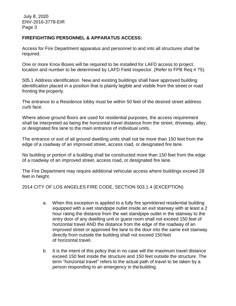## **FIREFIGHTING PERSONNEL & APPARATUS ACCESS:**

Access for Fire Department apparatus and personnel to and into all structures shall be required.

One or more Knox Boxes will be required to be installed for LAFD access to project. location and number to be determined by LAFD Field inspector. (Refer to FPB Req # 75).

505.1 Address identification. New and existing buildings shall have approved building identification placed in a position that is plainly legible and visible from the street or road fronting the property.

The entrance to a Residence lobby must be within 50 feet of the desired street address curb face.

Where above ground floors are used for residential purposes, the access requirement shall be interpreted as being the horizontal travel distance from the street, driveway, alley, or designated fire lane to the main entrance of individual units.

The entrance or exit of all ground dwelling units shall not be more than 150 feet from the edge of a roadway of an improved street, access road, or designated fire lane.

No building or portion of a building shall be constructed more than 150 feet from the edge of a roadway of an improved street, access road, or designated fire lane.

The Fire Department may require additional vehicular access where buildings exceed 28 feet in height.

2014 CITY OF LOS ANGELES FIRE CODE, SECTION 503.1.4 (EXCEPTION)

- a. When this exception is applied to a fully fire sprinklered residential building equipped with a wet standpipe outlet inside an exit stairway with at least a 2 hour rating the distance from the wet standpipe outlet in the stairway to the entry door of any dwelling unit or guest room shall not exceed 150 feet of horizontal travel AND the distance from the edge of the roadway of an improved street or approved fire lane to the door into the same exit stairway directly from outside the building shall not exceed 150feet of horizontal travel.
- b. It is the intent of this policy that in no case will the maximum travel distance exceed 150 feet inside the structure and 150 feet outside the structure. The term "horizontal travel" refers to the actual path of travel to be taken by a person responding to an emergency in thebuilding.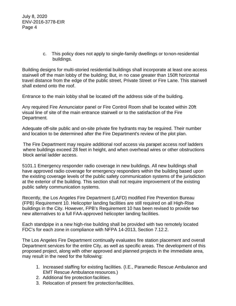> c. This policy does not apply to single-family dwellings or tonon-residential buildings.

Building designs for multi-storied residential buildings shall incorporate at least one access stairwell off the main lobby of the building; But, in no case greater than 150ft horizontal travel distance from the edge of the public street, Private Street or Fire Lane. This stairwell shall extend onto the roof.

Entrance to the main lobby shall be located off the address side of the building.

Any required Fire Annunciator panel or Fire Control Room shall be located within 20ft visual line of site of the main entrance stairwell or to the satisfaction of the Fire Department.

Adequate off-site public and on-site private fire hydrants may be required. Their number and location to be determined after the Fire Department's review of the plot plan.

The Fire Department may require additional roof access via parapet access roof ladders where buildings exceed 28 feet in height, and when overhead wires or other obstructions block aerial ladder access.

5101.1 Emergency responder radio coverage in new buildings. All new buildings shall have approved radio coverage for emergency responders within the building based upon the existing coverage levels of the public safety communication systems of the jurisdiction at the exterior of the building. This section shall not require improvement of the existing public safety communication systems.

Recently, the Los Angeles Fire Department (LAFD) modified Fire Prevention Bureau (FPB) Requirement 10. Helicopter landing facilities are still required on all High-Rise buildings in the City. However, FPB's Requirement 10 has been revised to provide two new alternatives to a full FAA-approved helicopter landing facilities.

Each standpipe in a new high-rise building shall be provided with two remotely located FDC's for each zone in compliance with NFPA 14-2013, Section 7.12.2.

The Los Angeles Fire Department continually evaluates fire station placement and overall Department services for the entire City, as well as specific areas. The development of this proposed project, along with other approved and planned projects in the immediate area, may result in the need for the following:

- 1. Increased staffing for existing facilities. (I.E., Paramedic Rescue Ambulance and EMT Rescue Ambulance resources.)
- 2. Additional fire protection facilities.
- 3. Relocation of present fire protectionfacilities.